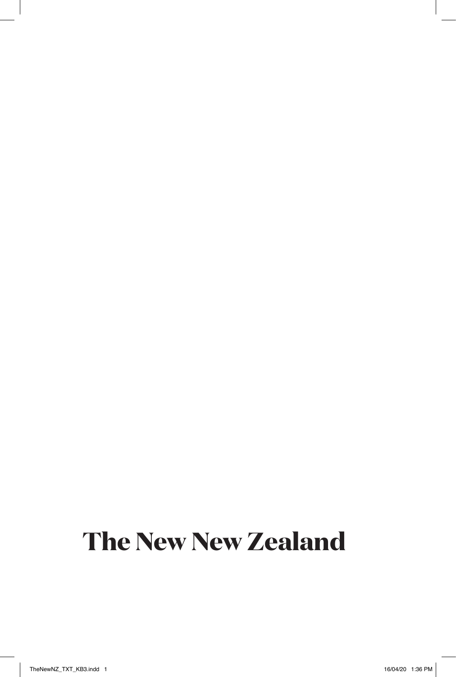### **The New New Zealand**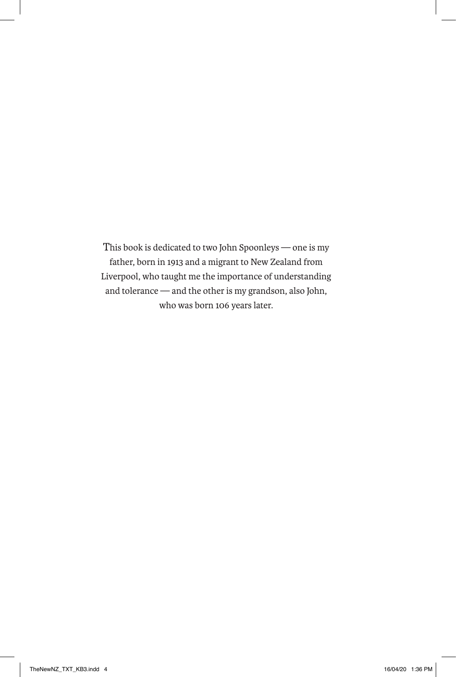This book is dedicated to two John Spoonleys — one is my father, born in 1913 and a migrant to New Zealand from Liverpool, who taught me the importance of understanding and tolerance — and the other is my grandson, also John, who was born 106 years later.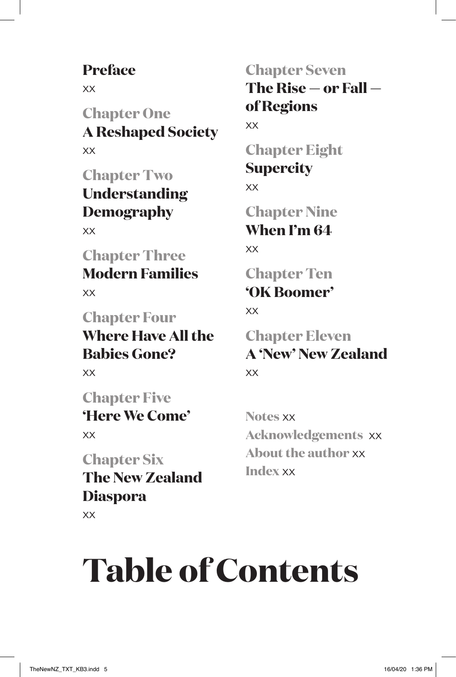### **Preface**

xx

**Chapter One A Reshaped Society** xx

### **Chapter Two Understanding Demography**

xx

**Chapter Three Modern Families** xx

**Chapter Four Where Have All the Babies Gone?** 

xx

**Chapter Five**

**'Here We Come'** xx

**Chapter Six The New Zealand Diaspora** xx

**Chapter Seven The Rise — or Fall of Regions** xx

**Chapter Eight Supercity** xx

**Chapter Nine When I'm 64** 

xx

**Chapter Ten 'OK Boomer'**

xx

**Chapter Eleven A 'New' New Zealand** xx

**Notes** xx **Acknowledgements** xx **About the author** xx **Index** xx

# **Table of Contents**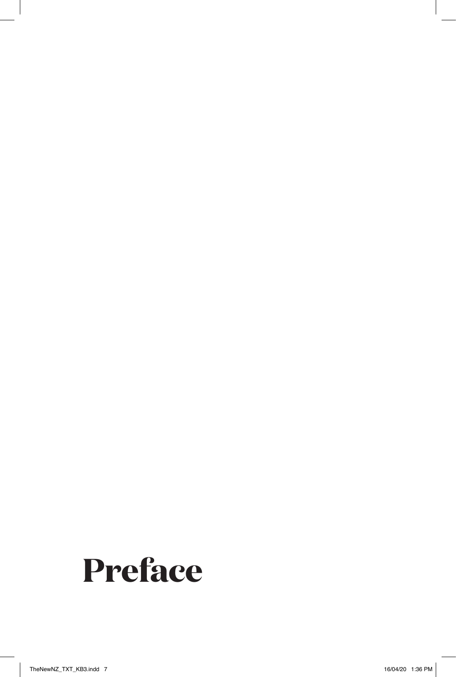## **Preface**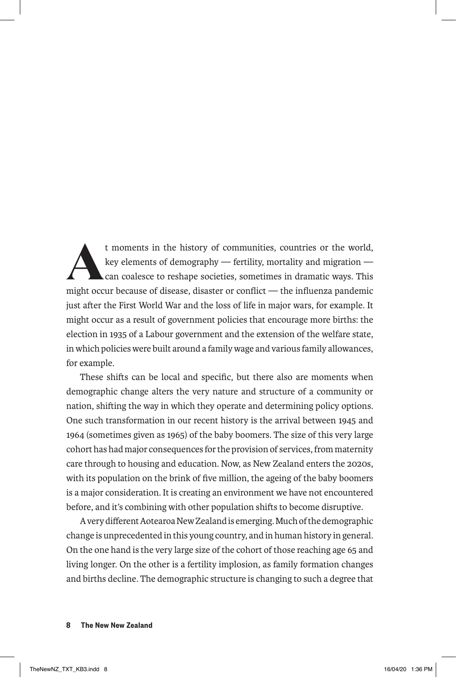t moments in the history of communities, countries or the world,<br>key elements of demography — fertility, mortality and migration —<br>can coalesce to reshape societies, sometimes in dramatic ways. This<br>might again because of key elements of demography — fertility, mortality and migration can coalesce to reshape societies, sometimes in dramatic ways. This might occur because of disease, disaster or conflict — the influenza pandemic just after the First World War and the loss of life in major wars, for example. It might occur as a result of government policies that encourage more births: the election in 1935 of a Labour government and the extension of the welfare state, in which policies were built around a family wage and various family allowances, for example.

These shifts can be local and specific, but there also are moments when demographic change alters the very nature and structure of a community or nation, shifting the way in which they operate and determining policy options. One such transformation in our recent history is the arrival between 1945 and 1964 (sometimes given as 1965) of the baby boomers. The size of this very large cohort has had major consequences for the provision of services, from maternity care through to housing and education. Now, as New Zealand enters the 2020s, with its population on the brink of five million, the ageing of the baby boomers is a major consideration. It is creating an environment we have not encountered before, and it's combining with other population shifts to become disruptive.

A very different Aotearoa New Zealand is emerging. Much of the demographic change is unprecedented in this young country, and in human history in general. On the one hand is the very large size of the cohort of those reaching age 65 and living longer. On the other is a fertility implosion, as family formation changes and births decline. The demographic structure is changing to such a degree that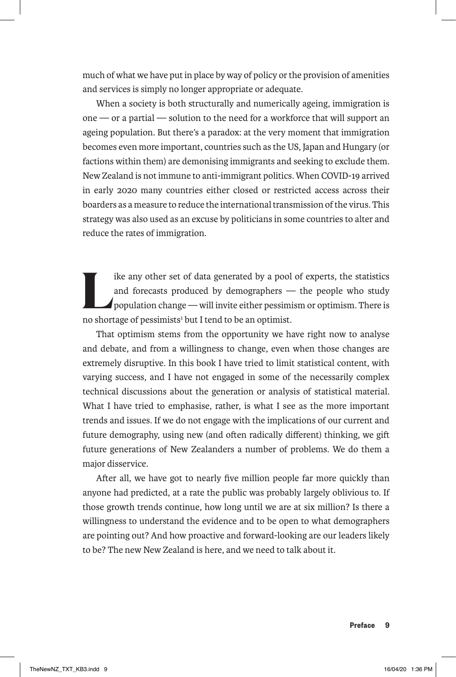much of what we have put in place by way of policy or the provision of amenities and services is simply no longer appropriate or adequate.

When a society is both structurally and numerically ageing, immigration is one — or a partial — solution to the need for a workforce that will support an ageing population. But there's a paradox: at the very moment that immigration becomes even more important, countries such as the US, Japan and Hungary (or factions within them) are demonising immigrants and seeking to exclude them. New Zealand is not immune to anti-immigrant politics. When COVID-19 arrived in early 2020 many countries either closed or restricted access across their boarders as a measure to reduce the international transmission of the virus. This strategy was also used as an excuse by politicians in some countries to alter and reduce the rates of immigration.

ILI is any other set of data generated by a pool of experts, the statistics<br>and forecasts produced by demographers — the people who study<br>population change — will invite either pessimism or optimism. There is<br>no about see and forecasts produced by demographers — the people who study population change — will invite either pessimism or optimism. There is no shortage of pessimists<sup>1</sup> but I tend to be an optimist.

That optimism stems from the opportunity we have right now to analyse and debate, and from a willingness to change, even when those changes are extremely disruptive. In this book I have tried to limit statistical content, with varying success, and I have not engaged in some of the necessarily complex technical discussions about the generation or analysis of statistical material. What I have tried to emphasise, rather, is what I see as the more important trends and issues. If we do not engage with the implications of our current and future demography, using new (and often radically different) thinking, we gift future generations of New Zealanders a number of problems. We do them a major disservice.

After all, we have got to nearly five million people far more quickly than anyone had predicted, at a rate the public was probably largely oblivious to. If those growth trends continue, how long until we are at six million? Is there a willingness to understand the evidence and to be open to what demographers are pointing out? And how proactive and forward-looking are our leaders likely to be? The new New Zealand is here, and we need to talk about it.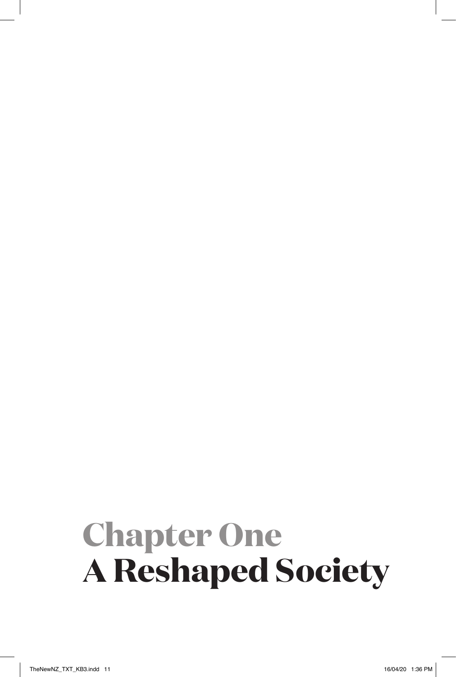## **Chapter One A Reshaped Society**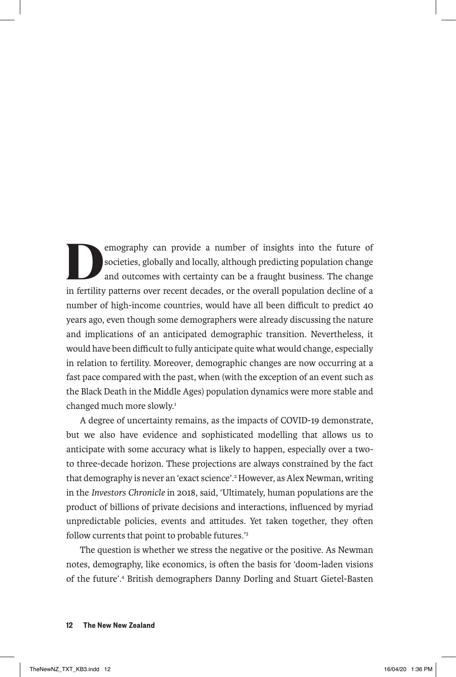**DEMOKER CONSERVINTS CONSERVINTS AND SOCIETIES, globally and locally, although predicting population change and outcomes with certainty can be a fraught business. The change in fortility patterns over recent decodes on the** societies, globally and locally, although predicting population change and outcomes with certainty can be a fraught business. The change in fertility patterns over recent decades, or the overall population decline of a number of high-income countries, would have all been difficult to predict 40 years ago, even though some demographers were already discussing the nature and implications of an anticipated demographic transition. Nevertheless, it would have been difficult to fully anticipate quite what would change, especially in relation to fertility. Moreover, demographic changes are now occurring at a fast pace compared with the past, when (with the exception of an event such as the Black Death in the Middle Ages) population dynamics were more stable and changed much more slowly.<sup>1</sup>

A degree of uncertainty remains, as the impacts of COVID-19 demonstrate, but we also have evidence and sophisticated modelling that allows us to anticipate with some accuracy what is likely to happen, especially over a twoto three-decade horizon. These projections are always constrained by the fact that demography is never an 'exact science'.2 However, as Alex Newman, writing in the *Investors Chronicle* in 2018, said, 'Ultimately, human populations are the product of billions of private decisions and interactions, influenced by myriad unpredictable policies, events and attitudes. Yet taken together, they often follow currents that point to probable futures.'3

The question is whether we stress the negative or the positive. As Newman notes, demography, like economics, is often the basis for 'doom-laden visions of the future'.4 British demographers Danny Dorling and Stuart Gietel-Basten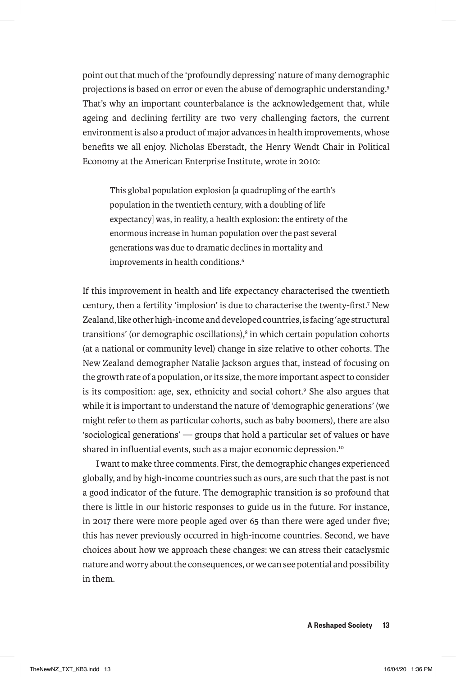point out that much of the 'profoundly depressing' nature of many demographic projections is based on error or even the abuse of demographic understanding.5 That's why an important counterbalance is the acknowledgement that, while ageing and declining fertility are two very challenging factors, the current environment is also a product of major advances in health improvements, whose benefits we all enjoy. Nicholas Eberstadt, the Henry Wendt Chair in Political Economy at the American Enterprise Institute, wrote in 2010:

This global population explosion [a quadrupling of the earth's population in the twentieth century, with a doubling of life expectancy] was, in reality, a health explosion: the entirety of the enormous increase in human population over the past several generations was due to dramatic declines in mortality and improvements in health conditions.<sup>6</sup>

If this improvement in health and life expectancy characterised the twentieth century, then a fertility 'implosion' is due to characterise the twenty-first.7 New Zealand, like other high-income and developed countries, is facing 'age structural transitions' (or demographic oscillations),<sup>8</sup> in which certain population cohorts (at a national or community level) change in size relative to other cohorts. The New Zealand demographer Natalie Jackson argues that, instead of focusing on the growth rate of a population, or its size, the more important aspect to consider is its composition: age, sex, ethnicity and social cohort.<sup>9</sup> She also argues that while it is important to understand the nature of 'demographic generations' (we might refer to them as particular cohorts, such as baby boomers), there are also 'sociological generations' — groups that hold a particular set of values or have shared in influential events, such as a major economic depression.<sup>10</sup>

I want to make three comments. First, the demographic changes experienced globally, and by high-income countries such as ours, are such that the past is not a good indicator of the future. The demographic transition is so profound that there is little in our historic responses to guide us in the future. For instance, in 2017 there were more people aged over 65 than there were aged under five; this has never previously occurred in high-income countries. Second, we have choices about how we approach these changes: we can stress their cataclysmic nature and worry about the consequences, or we can see potential and possibility in them.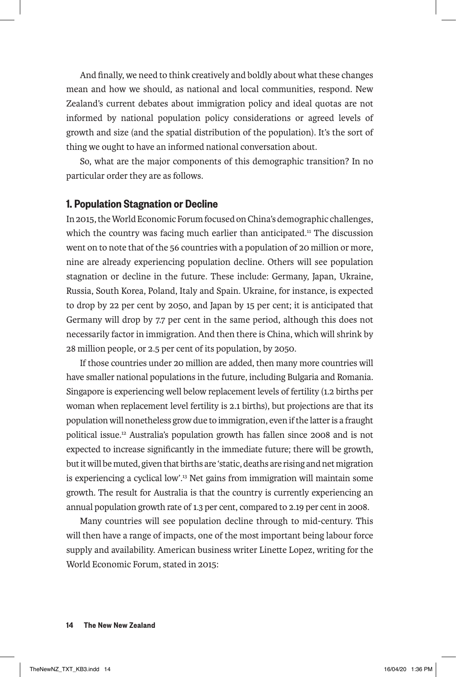And finally, we need to think creatively and boldly about what these changes mean and how we should, as national and local communities, respond. New Zealand's current debates about immigration policy and ideal quotas are not informed by national population policy considerations or agreed levels of growth and size (and the spatial distribution of the population). It's the sort of thing we ought to have an informed national conversation about.

So, what are the major components of this demographic transition? In no particular order they are as follows.

#### 1. Population Stagnation or Decline

In 2015, the World Economic Forum focused on China's demographic challenges, which the country was facing much earlier than anticipated.<sup>11</sup> The discussion went on to note that of the 56 countries with a population of 20 million or more, nine are already experiencing population decline. Others will see population stagnation or decline in the future. These include: Germany, Japan, Ukraine, Russia, South Korea, Poland, Italy and Spain. Ukraine, for instance, is expected to drop by 22 per cent by 2050, and Japan by 15 per cent; it is anticipated that Germany will drop by 7.7 per cent in the same period, although this does not necessarily factor in immigration. And then there is China, which will shrink by 28 million people, or 2.5 per cent of its population, by 2050.

If those countries under 20 million are added, then many more countries will have smaller national populations in the future, including Bulgaria and Romania. Singapore is experiencing well below replacement levels of fertility (1.2 births per woman when replacement level fertility is 2.1 births), but projections are that its population will nonetheless grow due to immigration, even if the latter is a fraught political issue.12 Australia's population growth has fallen since 2008 and is not expected to increase significantly in the immediate future; there will be growth, but it will be muted, given that births are 'static, deaths are rising and net migration is experiencing a cyclical low'.13 Net gains from immigration will maintain some growth. The result for Australia is that the country is currently experiencing an annual population growth rate of 1.3 per cent, compared to 2.19 per cent in 2008.

Many countries will see population decline through to mid-century. This will then have a range of impacts, one of the most important being labour force supply and availability. American business writer Linette Lopez, writing for the World Economic Forum, stated in 2015: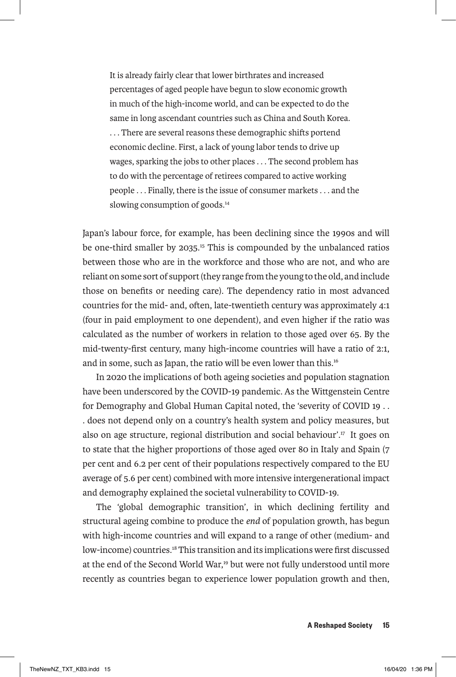It is already fairly clear that lower birthrates and increased percentages of aged people have begun to slow economic growth in much of the high-income world, and can be expected to do the same in long ascendant countries such as China and South Korea. . . . There are several reasons these demographic shifts portend economic decline. First, a lack of young labor tends to drive up wages, sparking the jobs to other places . . . The second problem has to do with the percentage of retirees compared to active working people . . . Finally, there is the issue of consumer markets . . . and the slowing consumption of goods.<sup>14</sup>

Japan's labour force, for example, has been declining since the 1990s and will be one-third smaller by 2035.15 This is compounded by the unbalanced ratios between those who are in the workforce and those who are not, and who are reliant on some sort of support (they range from the young to the old, and include those on benefits or needing care). The dependency ratio in most advanced countries for the mid- and, often, late-twentieth century was approximately 4:1 (four in paid employment to one dependent), and even higher if the ratio was calculated as the number of workers in relation to those aged over 65. By the mid-twenty-first century, many high-income countries will have a ratio of 2:1, and in some, such as Japan, the ratio will be even lower than this.<sup>16</sup>

In 2020 the implications of both ageing societies and population stagnation have been underscored by the COVID-19 pandemic. As the Wittgenstein Centre for Demography and Global Human Capital noted, the 'severity of COVID 19 . . . does not depend only on a country's health system and policy measures, but also on age structure, regional distribution and social behaviour'.17 It goes on to state that the higher proportions of those aged over 80 in Italy and Spain (7 per cent and 6.2 per cent of their populations respectively compared to the EU average of 5.6 per cent) combined with more intensive intergenerational impact and demography explained the societal vulnerability to COVID-19.

The 'global demographic transition', in which declining fertility and structural ageing combine to produce the *end* of population growth, has begun with high-income countries and will expand to a range of other (medium- and low-income) countries.<sup>18</sup> This transition and its implications were first discussed at the end of the Second World War,19 but were not fully understood until more recently as countries began to experience lower population growth and then,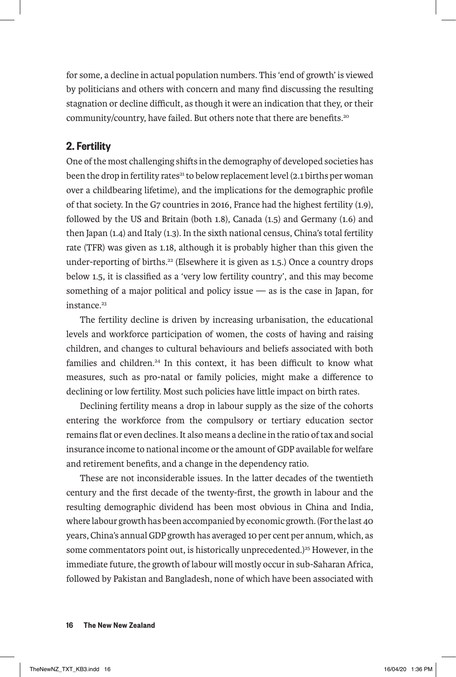for some, a decline in actual population numbers. This 'end of growth' is viewed by politicians and others with concern and many find discussing the resulting stagnation or decline difficult, as though it were an indication that they, or their community/country, have failed. But others note that there are benefits.<sup>20</sup>

### 2. Fertility

One of the most challenging shifts in the demography of developed societies has been the drop in fertility rates<sup>21</sup> to below replacement level  $(2.1$  births per woman over a childbearing lifetime), and the implications for the demographic profile of that society. In the G7 countries in 2016, France had the highest fertility (1.9), followed by the US and Britain (both 1.8), Canada (1.5) and Germany (1.6) and then Japan (1.4) and Italy (1.3). In the sixth national census, China's total fertility rate (TFR) was given as 1.18, although it is probably higher than this given the under-reporting of births. $22$  (Elsewhere it is given as 1.5.) Once a country drops below 1.5, it is classified as a 'very low fertility country', and this may become something of a major political and policy issue — as is the case in Japan, for instance<sup>23</sup>

The fertility decline is driven by increasing urbanisation, the educational levels and workforce participation of women, the costs of having and raising children, and changes to cultural behaviours and beliefs associated with both families and children.<sup>24</sup> In this context, it has been difficult to know what measures, such as pro-natal or family policies, might make a difference to declining or low fertility. Most such policies have little impact on birth rates.

Declining fertility means a drop in labour supply as the size of the cohorts entering the workforce from the compulsory or tertiary education sector remains flat or even declines. It also means a decline in the ratio of tax and social insurance income to national income or the amount of GDP available for welfare and retirement benefits, and a change in the dependency ratio.

These are not inconsiderable issues. In the latter decades of the twentieth century and the first decade of the twenty-first, the growth in labour and the resulting demographic dividend has been most obvious in China and India, where labour growth has been accompanied by economic growth. (For the last 40 years, China's annual GDP growth has averaged 10 per cent per annum, which, as some commentators point out, is historically unprecedented.)<sup>25</sup> However, in the immediate future, the growth of labour will mostly occur in sub-Saharan Africa, followed by Pakistan and Bangladesh, none of which have been associated with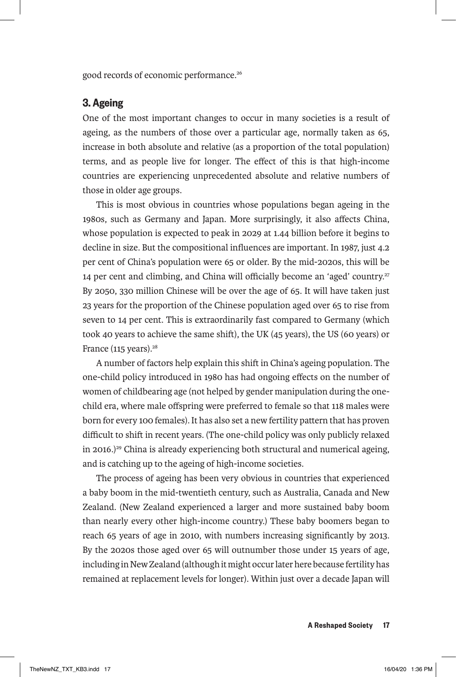good records of economic performance.26

### 3. Ageing

One of the most important changes to occur in many societies is a result of ageing, as the numbers of those over a particular age, normally taken as 65, increase in both absolute and relative (as a proportion of the total population) terms, and as people live for longer. The effect of this is that high-income countries are experiencing unprecedented absolute and relative numbers of those in older age groups.

This is most obvious in countries whose populations began ageing in the 1980s, such as Germany and Japan. More surprisingly, it also affects China, whose population is expected to peak in 2029 at 1.44 billion before it begins to decline in size. But the compositional influences are important. In 1987, just 4.2 per cent of China's population were 65 or older. By the mid-2020s, this will be 14 per cent and climbing, and China will officially become an 'aged' country.<sup>27</sup> By 2050, 330 million Chinese will be over the age of 65. It will have taken just 23 years for the proportion of the Chinese population aged over 65 to rise from seven to 14 per cent. This is extraordinarily fast compared to Germany (which took 40 years to achieve the same shift), the UK (45 years), the US (60 years) or France (115 years). $28$ 

A number of factors help explain this shift in China's ageing population. The one-child policy introduced in 1980 has had ongoing effects on the number of women of childbearing age (not helped by gender manipulation during the onechild era, where male offspring were preferred to female so that 118 males were born for every 100 females). It has also set a new fertility pattern that has proven difficult to shift in recent years. (The one-child policy was only publicly relaxed in 2016.)<sup>29</sup> China is already experiencing both structural and numerical ageing, and is catching up to the ageing of high-income societies.

The process of ageing has been very obvious in countries that experienced a baby boom in the mid-twentieth century, such as Australia, Canada and New Zealand. (New Zealand experienced a larger and more sustained baby boom than nearly every other high-income country.) These baby boomers began to reach 65 years of age in 2010, with numbers increasing significantly by 2013. By the 2020s those aged over 65 will outnumber those under 15 years of age, including in New Zealand (although it might occur later here because fertility has remained at replacement levels for longer). Within just over a decade Japan will